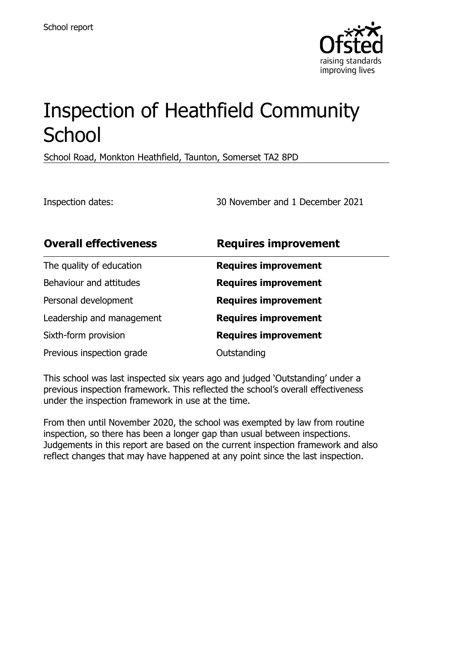

# Inspection of Heathfield Community **School**

School Road, Monkton Heathfield, Taunton, Somerset TA2 8PD

Inspection dates: 30 November and 1 December 2021

| <b>Overall effectiveness</b> | <b>Requires improvement</b> |
|------------------------------|-----------------------------|
| The quality of education     | <b>Requires improvement</b> |
| Behaviour and attitudes      | <b>Requires improvement</b> |
| Personal development         | <b>Requires improvement</b> |
| Leadership and management    | <b>Requires improvement</b> |
| Sixth-form provision         | <b>Requires improvement</b> |
| Previous inspection grade    | Outstanding                 |

This school was last inspected six years ago and judged 'Outstanding' under a previous inspection framework. This reflected the school's overall effectiveness under the inspection framework in use at the time.

From then until November 2020, the school was exempted by law from routine inspection, so there has been a longer gap than usual between inspections. Judgements in this report are based on the current inspection framework and also reflect changes that may have happened at any point since the last inspection.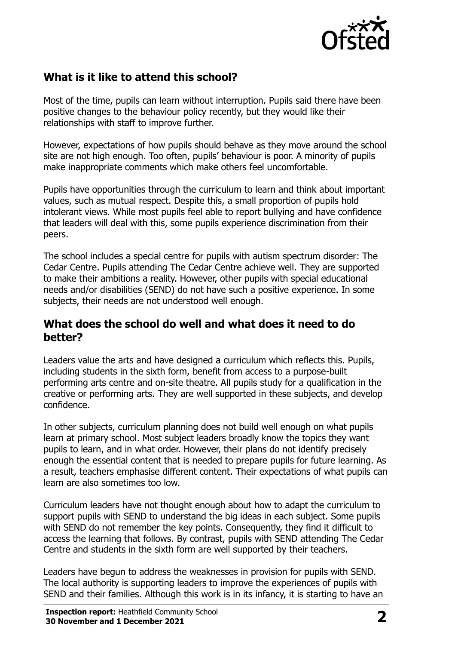

## **What is it like to attend this school?**

Most of the time, pupils can learn without interruption. Pupils said there have been positive changes to the behaviour policy recently, but they would like their relationships with staff to improve further.

However, expectations of how pupils should behave as they move around the school site are not high enough. Too often, pupils' behaviour is poor. A minority of pupils make inappropriate comments which make others feel uncomfortable.

Pupils have opportunities through the curriculum to learn and think about important values, such as mutual respect. Despite this, a small proportion of pupils hold intolerant views. While most pupils feel able to report bullying and have confidence that leaders will deal with this, some pupils experience discrimination from their peers.

The school includes a special centre for pupils with autism spectrum disorder: The Cedar Centre. Pupils attending The Cedar Centre achieve well. They are supported to make their ambitions a reality. However, other pupils with special educational needs and/or disabilities (SEND) do not have such a positive experience. In some subjects, their needs are not understood well enough.

#### **What does the school do well and what does it need to do better?**

Leaders value the arts and have designed a curriculum which reflects this. Pupils, including students in the sixth form, benefit from access to a purpose-built performing arts centre and on-site theatre. All pupils study for a qualification in the creative or performing arts. They are well supported in these subjects, and develop confidence.

In other subjects, curriculum planning does not build well enough on what pupils learn at primary school. Most subject leaders broadly know the topics they want pupils to learn, and in what order. However, their plans do not identify precisely enough the essential content that is needed to prepare pupils for future learning. As a result, teachers emphasise different content. Their expectations of what pupils can learn are also sometimes too low.

Curriculum leaders have not thought enough about how to adapt the curriculum to support pupils with SEND to understand the big ideas in each subject. Some pupils with SEND do not remember the key points. Consequently, they find it difficult to access the learning that follows. By contrast, pupils with SEND attending The Cedar Centre and students in the sixth form are well supported by their teachers.

Leaders have begun to address the weaknesses in provision for pupils with SEND. The local authority is supporting leaders to improve the experiences of pupils with SEND and their families. Although this work is in its infancy, it is starting to have an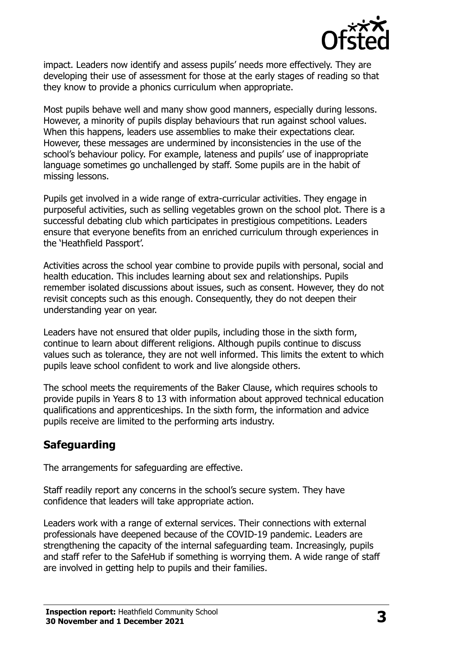

impact. Leaders now identify and assess pupils' needs more effectively. They are developing their use of assessment for those at the early stages of reading so that they know to provide a phonics curriculum when appropriate.

Most pupils behave well and many show good manners, especially during lessons. However, a minority of pupils display behaviours that run against school values. When this happens, leaders use assemblies to make their expectations clear. However, these messages are undermined by inconsistencies in the use of the school's behaviour policy. For example, lateness and pupils' use of inappropriate language sometimes go unchallenged by staff. Some pupils are in the habit of missing lessons.

Pupils get involved in a wide range of extra-curricular activities. They engage in purposeful activities, such as selling vegetables grown on the school plot. There is a successful debating club which participates in prestigious competitions. Leaders ensure that everyone benefits from an enriched curriculum through experiences in the 'Heathfield Passport'.

Activities across the school year combine to provide pupils with personal, social and health education. This includes learning about sex and relationships. Pupils remember isolated discussions about issues, such as consent. However, they do not revisit concepts such as this enough. Consequently, they do not deepen their understanding year on year.

Leaders have not ensured that older pupils, including those in the sixth form, continue to learn about different religions. Although pupils continue to discuss values such as tolerance, they are not well informed. This limits the extent to which pupils leave school confident to work and live alongside others.

The school meets the requirements of the Baker Clause, which requires schools to provide pupils in Years 8 to 13 with information about approved technical education qualifications and apprenticeships. In the sixth form, the information and advice pupils receive are limited to the performing arts industry.

## **Safeguarding**

The arrangements for safeguarding are effective.

Staff readily report any concerns in the school's secure system. They have confidence that leaders will take appropriate action.

Leaders work with a range of external services. Their connections with external professionals have deepened because of the COVID-19 pandemic. Leaders are strengthening the capacity of the internal safeguarding team. Increasingly, pupils and staff refer to the SafeHub if something is worrying them. A wide range of staff are involved in getting help to pupils and their families.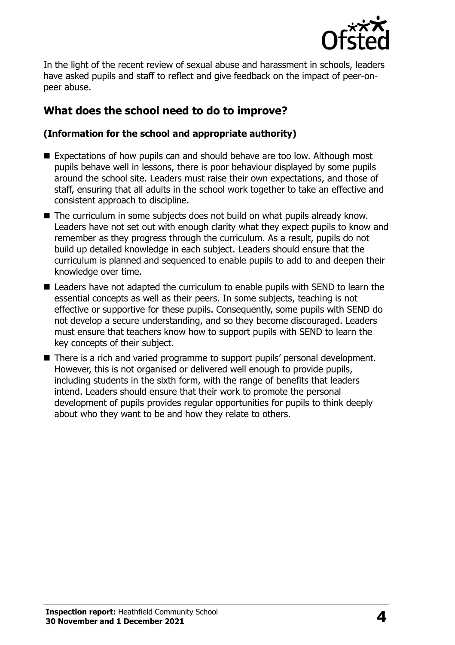

In the light of the recent review of sexual abuse and harassment in schools, leaders have asked pupils and staff to reflect and give feedback on the impact of peer-onpeer abuse.

## **What does the school need to do to improve?**

#### **(Information for the school and appropriate authority)**

- Expectations of how pupils can and should behave are too low. Although most pupils behave well in lessons, there is poor behaviour displayed by some pupils around the school site. Leaders must raise their own expectations, and those of staff, ensuring that all adults in the school work together to take an effective and consistent approach to discipline.
- The curriculum in some subjects does not build on what pupils already know. Leaders have not set out with enough clarity what they expect pupils to know and remember as they progress through the curriculum. As a result, pupils do not build up detailed knowledge in each subject. Leaders should ensure that the curriculum is planned and sequenced to enable pupils to add to and deepen their knowledge over time.
- Leaders have not adapted the curriculum to enable pupils with SEND to learn the essential concepts as well as their peers. In some subjects, teaching is not effective or supportive for these pupils. Consequently, some pupils with SEND do not develop a secure understanding, and so they become discouraged. Leaders must ensure that teachers know how to support pupils with SEND to learn the key concepts of their subject.
- There is a rich and varied programme to support pupils' personal development. However, this is not organised or delivered well enough to provide pupils, including students in the sixth form, with the range of benefits that leaders intend. Leaders should ensure that their work to promote the personal development of pupils provides regular opportunities for pupils to think deeply about who they want to be and how they relate to others.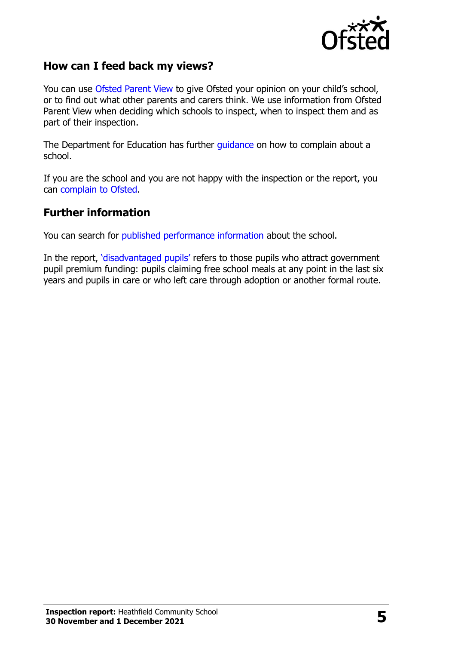

### **How can I feed back my views?**

You can use [Ofsted Parent View](http://parentview.ofsted.gov.uk/) to give Ofsted your opinion on your child's school, or to find out what other parents and carers think. We use information from Ofsted Parent View when deciding which schools to inspect, when to inspect them and as part of their inspection.

The Department for Education has further [guidance](http://www.gov.uk/complain-about-school) on how to complain about a school.

If you are the school and you are not happy with the inspection or the report, you can [complain to Ofsted.](http://www.gov.uk/complain-ofsted-report)

#### **Further information**

You can search for [published performance information](http://www.compare-school-performance.service.gov.uk/) about the school.

In the report, '[disadvantaged pupils](http://www.gov.uk/guidance/pupil-premium-information-for-schools-and-alternative-provision-settings)' refers to those pupils who attract government pupil premium funding: pupils claiming free school meals at any point in the last six years and pupils in care or who left care through adoption or another formal route.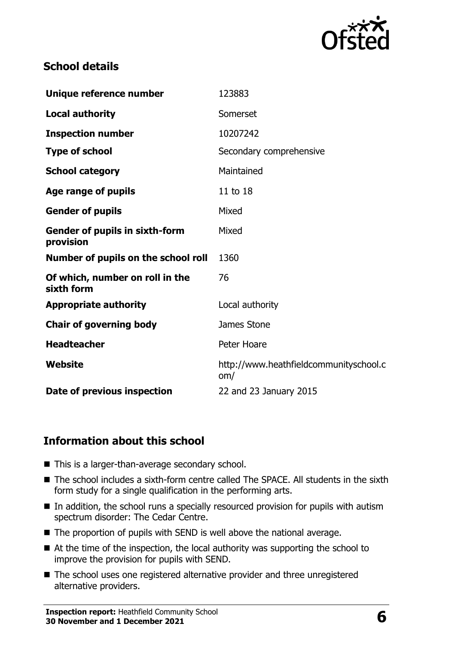

## **School details**

| Unique reference number                            | 123883                                        |  |
|----------------------------------------------------|-----------------------------------------------|--|
| <b>Local authority</b>                             | Somerset                                      |  |
| <b>Inspection number</b>                           | 10207242                                      |  |
| <b>Type of school</b>                              | Secondary comprehensive                       |  |
| <b>School category</b>                             | Maintained                                    |  |
| Age range of pupils                                | 11 to 18                                      |  |
| <b>Gender of pupils</b>                            | Mixed                                         |  |
| <b>Gender of pupils in sixth-form</b><br>provision | Mixed                                         |  |
| Number of pupils on the school roll                | 1360                                          |  |
| Of which, number on roll in the<br>sixth form      | 76                                            |  |
| <b>Appropriate authority</b>                       | Local authority                               |  |
| <b>Chair of governing body</b>                     | James Stone                                   |  |
| <b>Headteacher</b>                                 | Peter Hoare                                   |  |
| Website                                            | http://www.heathfieldcommunityschool.c<br>om/ |  |
| Date of previous inspection                        | 22 and 23 January 2015                        |  |

## **Information about this school**

- This is a larger-than-average secondary school.
- The school includes a sixth-form centre called The SPACE. All students in the sixth form study for a single qualification in the performing arts.
- $\blacksquare$  In addition, the school runs a specially resourced provision for pupils with autism spectrum disorder: The Cedar Centre.
- $\blacksquare$  The proportion of pupils with SEND is well above the national average.
- At the time of the inspection, the local authority was supporting the school to improve the provision for pupils with SEND.
- The school uses one registered alternative provider and three unregistered alternative providers.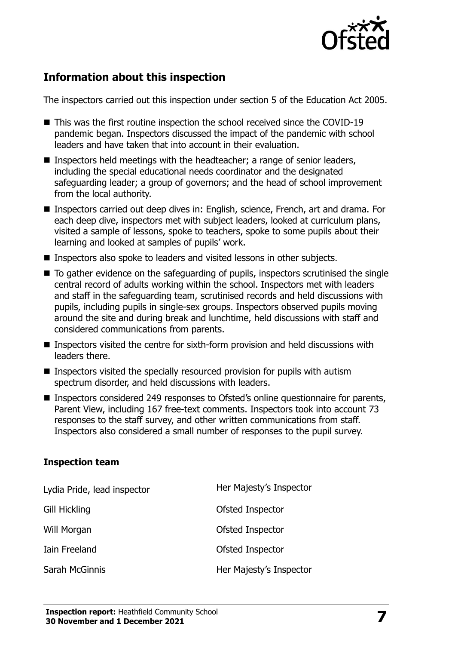

## **Information about this inspection**

The inspectors carried out this inspection under section 5 of the Education Act 2005.

- This was the first routine inspection the school received since the COVID-19 pandemic began. Inspectors discussed the impact of the pandemic with school leaders and have taken that into account in their evaluation.
- Inspectors held meetings with the headteacher; a range of senior leaders, including the special educational needs coordinator and the designated safeguarding leader; a group of governors; and the head of school improvement from the local authority.
- Inspectors carried out deep dives in: English, science, French, art and drama. For each deep dive, inspectors met with subject leaders, looked at curriculum plans, visited a sample of lessons, spoke to teachers, spoke to some pupils about their learning and looked at samples of pupils' work.
- Inspectors also spoke to leaders and visited lessons in other subjects.
- To gather evidence on the safeguarding of pupils, inspectors scrutinised the single central record of adults working within the school. Inspectors met with leaders and staff in the safeguarding team, scrutinised records and held discussions with pupils, including pupils in single-sex groups. Inspectors observed pupils moving around the site and during break and lunchtime, held discussions with staff and considered communications from parents.
- Inspectors visited the centre for sixth-form provision and held discussions with leaders there.
- Inspectors visited the specially resourced provision for pupils with autism spectrum disorder, and held discussions with leaders.
- Inspectors considered 249 responses to Ofsted's online questionnaire for parents, Parent View, including 167 free-text comments. Inspectors took into account 73 responses to the staff survey, and other written communications from staff. Inspectors also considered a small number of responses to the pupil survey.

#### **Inspection team**

| Lydia Pride, lead inspector | Her Majesty's Inspector |
|-----------------------------|-------------------------|
| Gill Hickling               | Ofsted Inspector        |
| Will Morgan                 | Ofsted Inspector        |
| Iain Freeland               | Ofsted Inspector        |
| Sarah McGinnis              | Her Majesty's Inspector |